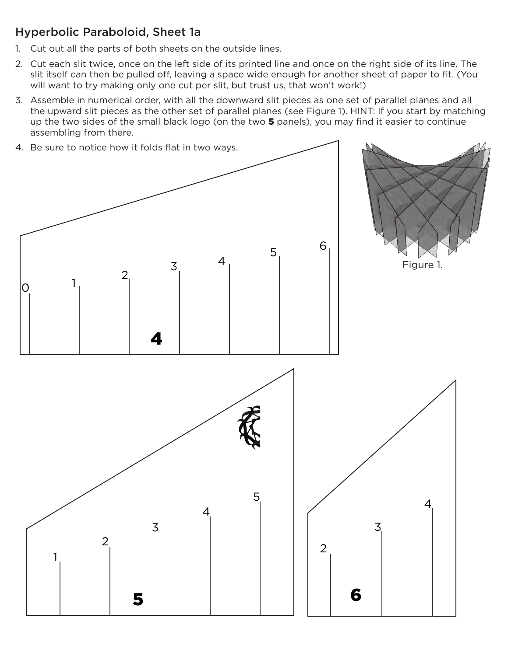## Hyperbolic Paraboloid, Sheet 1a

- 1. Cut out all the parts of both sheets on the outside lines.
- 2. Cut each slit twice, once on the left side of its printed line and once on the right side of its line. The slit itself can then be pulled off, leaving a space wide enough for another sheet of paper to fit. (You will want to try making only one cut per slit, but trust us, that won't work!)
- 3. Assemble in numerical order, with all the downward slit pieces as one set of parallel planes and all the upward slit pieces as the other set of parallel planes (see Figure 1). HINT: If you start by matching up the two sides of the small black logo (on the two 5 panels), you may find it easier to continue assembling from there.

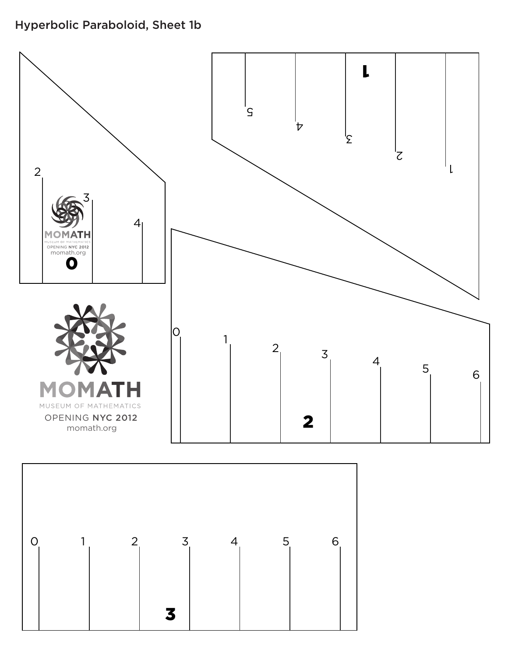## Hyperbolic Paraboloid, Sheet 1b

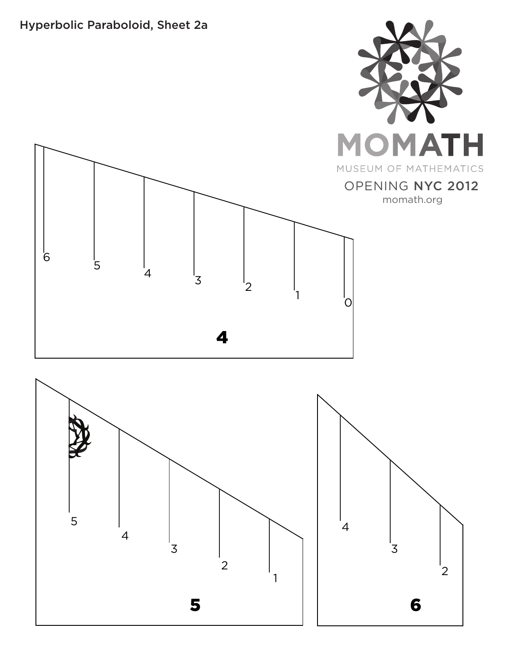## Hyperbolic Paraboloid, Sheet 2a